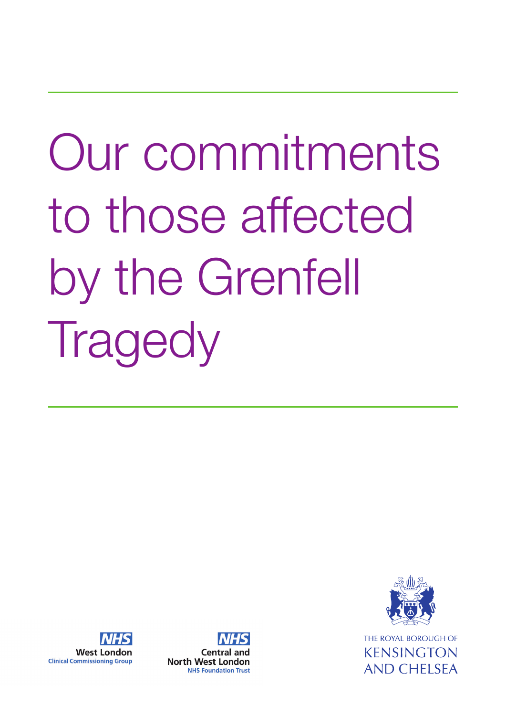# Our commitments to those affected by the Grenfell **Tragedy**



**KENSINGTON** AND CHELSEA



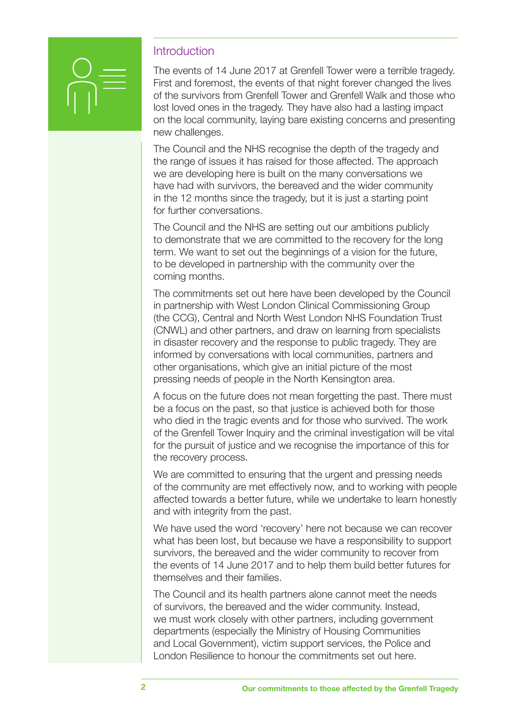

#### **Introduction**

The events of 14 June 2017 at Grenfell Tower were a terrible tragedy. First and foremost, the events of that night forever changed the lives of the survivors from Grenfell Tower and Grenfell Walk and those who lost loved ones in the tragedy. They have also had a lasting impact on the local community, laying bare existing concerns and presenting new challenges.

The Council and the NHS recognise the depth of the tragedy and the range of issues it has raised for those affected. The approach we are developing here is built on the many conversations we have had with survivors, the bereaved and the wider community in the 12 months since the tragedy, but it is just a starting point for further conversations.

The Council and the NHS are setting out our ambitions publicly to demonstrate that we are committed to the recovery for the long term. We want to set out the beginnings of a vision for the future, to be developed in partnership with the community over the coming months.

The commitments set out here have been developed by the Council in partnership with West London Clinical Commissioning Group (the CCG), Central and North West London NHS Foundation Trust (CNWL) and other partners, and draw on learning from specialists in disaster recovery and the response to public tragedy. They are informed by conversations with local communities, partners and other organisations, which give an initial picture of the most pressing needs of people in the North Kensington area.

A focus on the future does not mean forgetting the past. There must be a focus on the past, so that justice is achieved both for those who died in the tragic events and for those who survived. The work of the Grenfell Tower Inquiry and the criminal investigation will be vital for the pursuit of justice and we recognise the importance of this for the recovery process.

We are committed to ensuring that the urgent and pressing needs of the community are met effectively now, and to working with people affected towards a better future, while we undertake to learn honestly and with integrity from the past.

We have used the word 'recovery' here not because we can recover what has been lost, but because we have a responsibility to support survivors, the bereaved and the wider community to recover from the events of 14 June 2017 and to help them build better futures for themselves and their families.

The Council and its health partners alone cannot meet the needs of survivors, the bereaved and the wider community. Instead, we must work closely with other partners, including government departments (especially the Ministry of Housing Communities and Local Government), victim support services, the Police and London Resilience to honour the commitments set out here.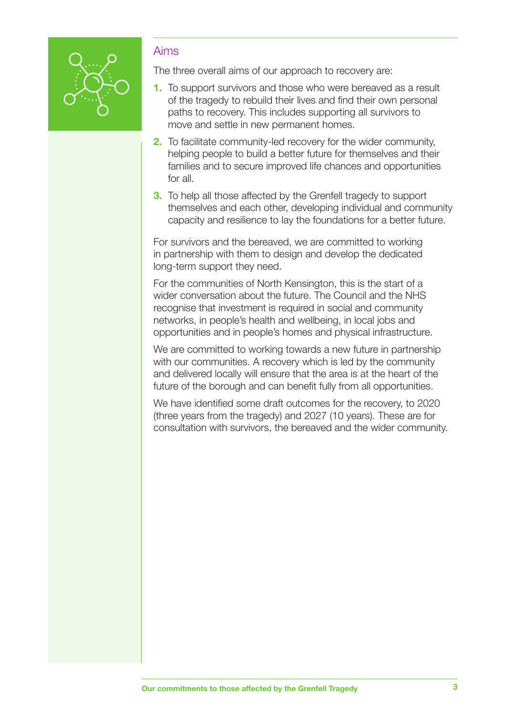

#### Aims

The three overall aims of our approach to recovery are:

- **1.** To support survivors and those who were bereaved as a result of the tragedy to rebuild their lives and find their own personal paths to recovery. This includes supporting all survivors to move and settle in new permanent homes.
- **2.** To facilitate community-led recovery for the wider community, helping people to build a better future for themselves and their families and to secure improved life chances and opportunities for all.
- **3.** To help all those affected by the Grenfell tragedy to support themselves and each other, developing individual and community capacity and resilience to lay the foundations for a better future.

For survivors and the bereaved, we are committed to working in partnership with them to design and develop the dedicated long-term support they need.

For the communities of North Kensington, this is the start of a wider conversation about the future. The Council and the NHS recognise that investment is required in social and community networks, in people's health and wellbeing, in local jobs and opportunities and in people's homes and physical infrastructure.

We are committed to working towards a new future in partnership with our communities. A recovery which is led by the community and delivered locally will ensure that the area is at the heart of the future of the borough and can benefit fully from all opportunities.

We have identified some draft outcomes for the recovery, to 2020 (three years from the tragedy) and 2027 (10 years). These are for consultation with survivors, the bereaved and the wider community.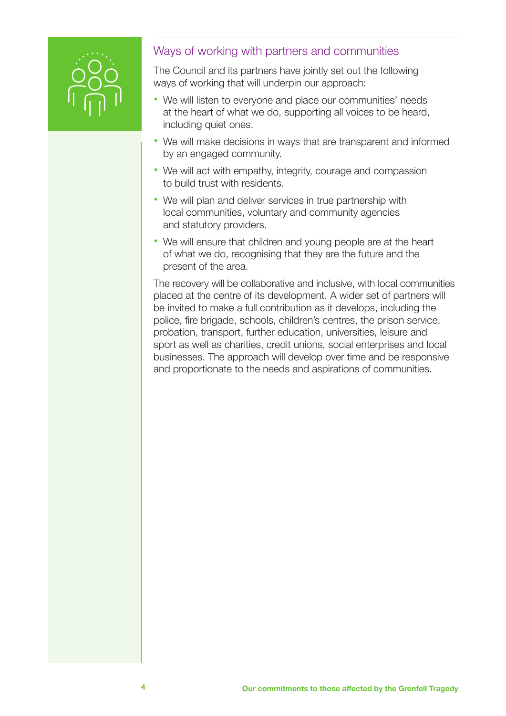

# Ways of working with partners and communities

The Council and its partners have jointly set out the following ways of working that will underpin our approach:

- We will listen to everyone and place our communities' needs at the heart of what we do, supporting all voices to be heard, including quiet ones.
- We will make decisions in ways that are transparent and informed by an engaged community.
- We will act with empathy, integrity, courage and compassion to build trust with residents.
- **•**  We will plan and deliver services in true partnership with local communities, voluntary and community agencies and statutory providers.
- We will ensure that children and young people are at the heart of what we do, recognising that they are the future and the present of the area.

The recovery will be collaborative and inclusive, with local communities placed at the centre of its development. A wider set of partners will be invited to make a full contribution as it develops, including the police, fire brigade, schools, children's centres, the prison service, probation, transport, further education, universities, leisure and sport as well as charities, credit unions, social enterprises and local businesses. The approach will develop over time and be responsive and proportionate to the needs and aspirations of communities.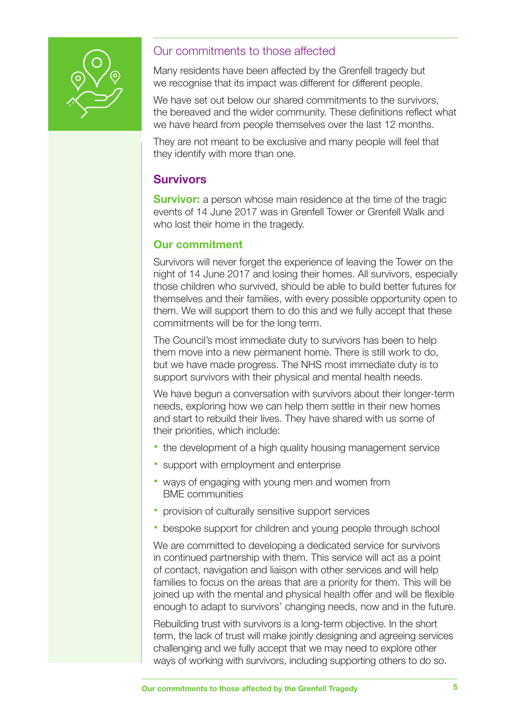

#### Our commitments to those affected

Many residents have been affected by the Grenfell tragedy but we recognise that its impact was different for different people.

We have set out below our shared commitments to the survivors, the bereaved and the wider community. These definitions reflect what we have heard from people themselves over the last 12 months.

They are not meant to be exclusive and many people will feel that they identify with more than one.

# **Survivors**

**Survivor:** a person whose main residence at the time of the tragic events of 14 June 2017 was in Grenfell Tower or Grenfell Walk and who lost their home in the tragedy.

#### **Our commitment**

Survivors will never forget the experience of leaving the Tower on the night of 14 June 2017 and losing their homes. All survivors, especially those children who survived, should be able to build better futures for themselves and their families, with every possible opportunity open to them. We will support them to do this and we fully accept that these commitments will be for the long term.

The Council's most immediate duty to survivors has been to help them move into a new permanent home. There is still work to do, but we have made progress. The NHS most immediate duty is to support survivors with their physical and mental health needs.

We have begun a conversation with survivors about their longer-term needs, exploring how we can help them settle in their new homes and start to rebuild their lives. They have shared with us some of their priorities, which include:

- the development of a high quality housing management service
- support with employment and enterprise
- ways of engaging with young men and women from BME communities
- provision of culturally sensitive support services
- bespoke support for children and young people through school

We are committed to developing a dedicated service for survivors in continued partnership with them. This service will act as a point of contact, navigation and liaison with other services and will help families to focus on the areas that are a priority for them. This will be joined up with the mental and physical health offer and will be flexible enough to adapt to survivors' changing needs, now and in the future.

Rebuilding trust with survivors is a long-term objective. In the short term, the lack of trust will make jointly designing and agreeing services challenging and we fully accept that we may need to explore other ways of working with survivors, including supporting others to do so.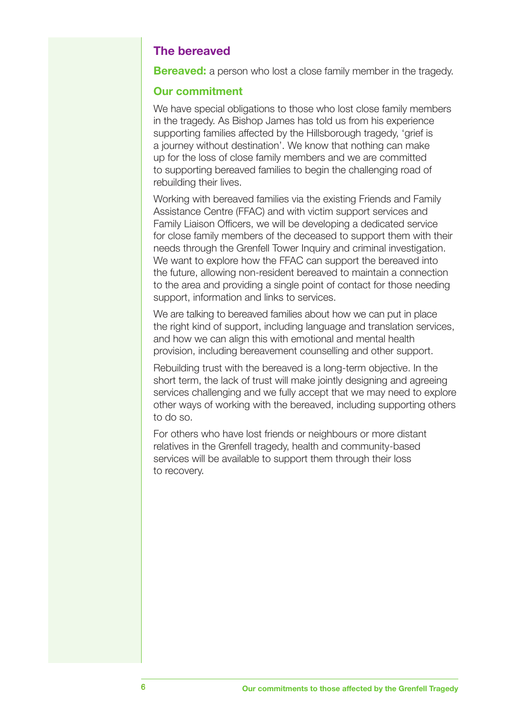#### **The bereaved**

**Bereaved:** a person who lost a close family member in the tragedy.

#### **Our commitment**

We have special obligations to those who lost close family members in the tragedy. As Bishop James has told us from his experience supporting families affected by the Hillsborough tragedy, 'grief is a journey without destination'. We know that nothing can make up for the loss of close family members and we are committed to supporting bereaved families to begin the challenging road of rebuilding their lives.

Working with bereaved families via the existing Friends and Family Assistance Centre (FFAC) and with victim support services and Family Liaison Officers, we will be developing a dedicated service for close family members of the deceased to support them with their needs through the Grenfell Tower Inquiry and criminal investigation. We want to explore how the FFAC can support the bereaved into the future, allowing non-resident bereaved to maintain a connection to the area and providing a single point of contact for those needing support, information and links to services.

We are talking to bereaved families about how we can put in place the right kind of support, including language and translation services, and how we can align this with emotional and mental health provision, including bereavement counselling and other support.

Rebuilding trust with the bereaved is a long-term objective. In the short term, the lack of trust will make jointly designing and agreeing services challenging and we fully accept that we may need to explore other ways of working with the bereaved, including supporting others to do so.

For others who have lost friends or neighbours or more distant relatives in the Grenfell tragedy, health and community-based services will be available to support them through their loss to recovery.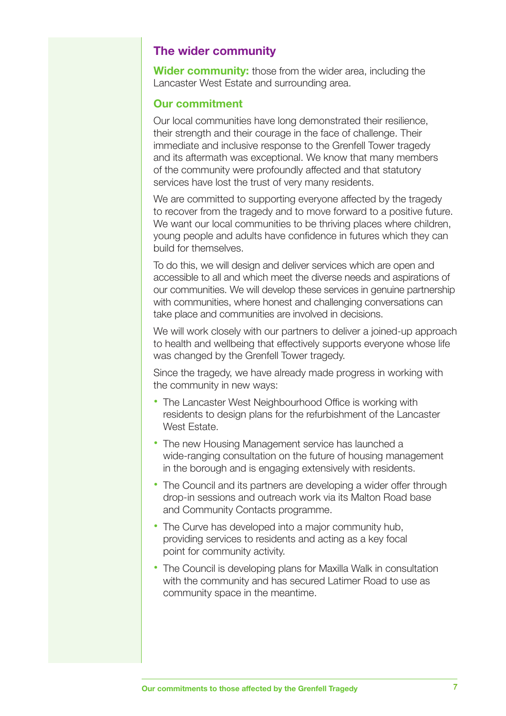#### **The wider community**

**Wider community:** those from the wider area, including the Lancaster West Estate and surrounding area.

#### **Our commitment**

Our local communities have long demonstrated their resilience, their strength and their courage in the face of challenge. Their immediate and inclusive response to the Grenfell Tower tragedy and its aftermath was exceptional. We know that many members of the community were profoundly affected and that statutory services have lost the trust of very many residents.

We are committed to supporting everyone affected by the tragedy to recover from the tragedy and to move forward to a positive future. We want our local communities to be thriving places where children, young people and adults have confidence in futures which they can build for themselves.

To do this, we will design and deliver services which are open and accessible to all and which meet the diverse needs and aspirations of our communities. We will develop these services in genuine partnership with communities, where honest and challenging conversations can take place and communities are involved in decisions.

We will work closely with our partners to deliver a joined-up approach to health and wellbeing that effectively supports everyone whose life was changed by the Grenfell Tower tragedy.

Since the tragedy, we have already made progress in working with the community in new ways:

- The Lancaster West Neighbourhood Office is working with residents to design plans for the refurbishment of the Lancaster West Estate.
- The new Housing Management service has launched a wide-ranging consultation on the future of housing management in the borough and is engaging extensively with residents.
- The Council and its partners are developing a wider offer through drop-in sessions and outreach work via its Malton Road base and Community Contacts programme.
- The Curve has developed into a major community hub, providing services to residents and acting as a key focal point for community activity.
- The Council is developing plans for Maxilla Walk in consultation with the community and has secured Latimer Road to use as community space in the meantime.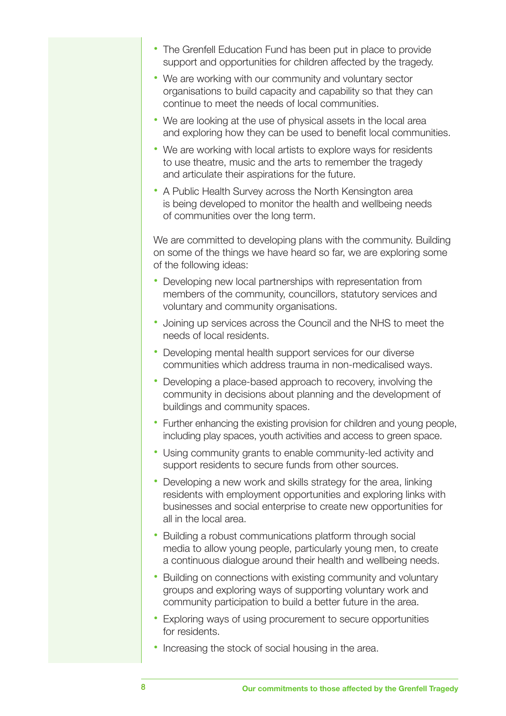- **•**  The Grenfell Education Fund has been put in place to provide support and opportunities for children affected by the tragedy.
- **•**  We are working with our community and voluntary sector organisations to build capacity and capability so that they can continue to meet the needs of local communities.
- We are looking at the use of physical assets in the local area and exploring how they can be used to benefit local communities.
- We are working with local artists to explore ways for residents to use theatre, music and the arts to remember the tragedy and articulate their aspirations for the future.
- **•**  A Public Health Survey across the North Kensington area is being developed to monitor the health and wellbeing needs of communities over the long term.

We are committed to developing plans with the community. Building on some of the things we have heard so far, we are exploring some of the following ideas:

- Developing new local partnerships with representation from members of the community, councillors, statutory services and voluntary and community organisations.
- **•**  Joining up services across the Council and the NHS to meet the needs of local residents.
- **•** Developing mental health support services for our diverse communities which address trauma in non-medicalised ways.
- **•** Developing a place-based approach to recovery, involving the community in decisions about planning and the development of buildings and community spaces.
- Further enhancing the existing provision for children and young people, including play spaces, youth activities and access to green space.
- **•** Using community grants to enable community-led activity and support residents to secure funds from other sources.
- Developing a new work and skills strategy for the area, linking residents with employment opportunities and exploring links with businesses and social enterprise to create new opportunities for all in the local area.
- **•** Building a robust communications platform through social media to allow young people, particularly young men, to create a continuous dialogue around their health and wellbeing needs.
- Building on connections with existing community and voluntary groups and exploring ways of supporting voluntary work and community participation to build a better future in the area.
- Exploring ways of using procurement to secure opportunities for residents.
- Increasing the stock of social housing in the area.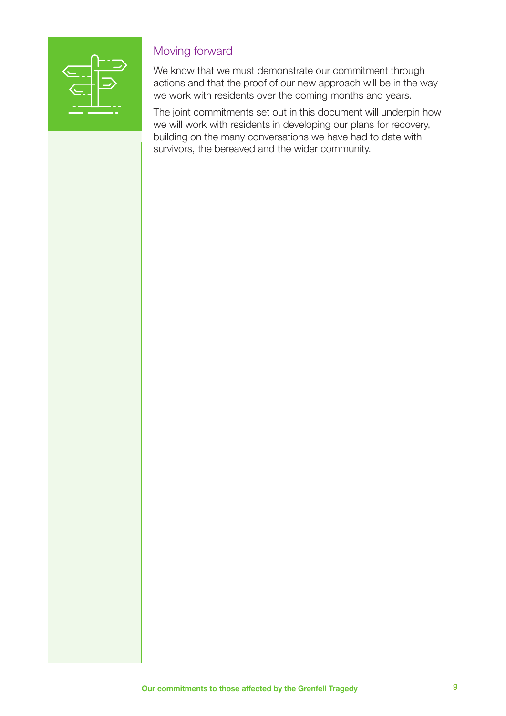

## Moving forward

We know that we must demonstrate our commitment through actions and that the proof of our new approach will be in the way we work with residents over the coming months and years.

The joint commitments set out in this document will underpin how we will work with residents in developing our plans for recovery, building on the many conversations we have had to date with survivors, the bereaved and the wider community.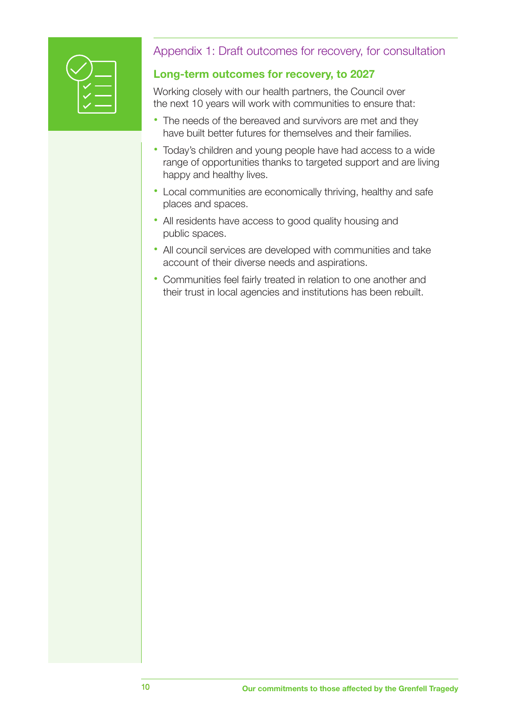

# Appendix 1: Draft outcomes for recovery, for consultation

### **Long-term outcomes for recovery, to 2027**

Working closely with our health partners, the Council over the next 10 years will work with communities to ensure that:

- The needs of the bereaved and survivors are met and they have built better futures for themselves and their families.
- **•**  Today's children and young people have had access to a wide range of opportunities thanks to targeted support and are living happy and healthy lives.
- **•**  Local communities are economically thriving, healthy and safe places and spaces.
- **•**  All residents have access to good quality housing and public spaces.
- **•**  All council services are developed with communities and take account of their diverse needs and aspirations.
- **•**  Communities feel fairly treated in relation to one another and their trust in local agencies and institutions has been rebuilt.